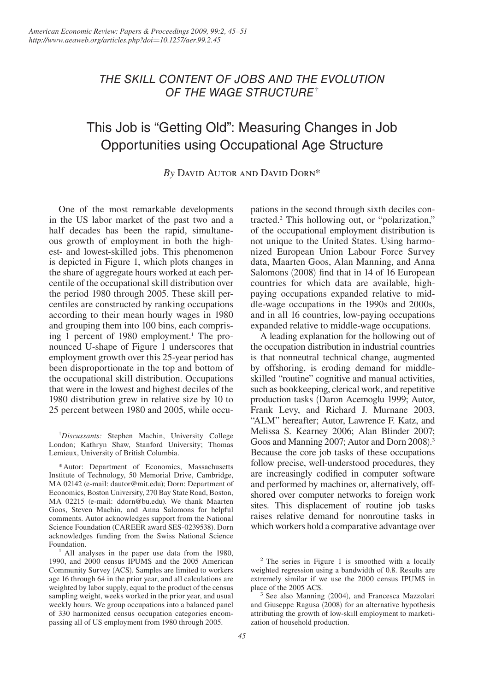# *The Skill Content of Jobs and the Evolution of the Wage Structure*†

# This Job is "Getting Old": Measuring Changes in Job Opportunities using Occupational Age Structure

## *By* David Autor and David Dorn\*

One of the most remarkable developments in the US labor market of the past two and a half decades has been the rapid, simultaneous growth of employment in both the highest- and lowest-skilled jobs. This phenomenon is depicted in Figure 1, which plots changes in the share of aggregate hours worked at each percentile of the occupational skill distribution over the period 1980 through 2005. These skill percentiles are constructed by ranking occupations according to their mean hourly wages in 1980 and grouping them into 100 bins, each comprising 1 percent of 1980 employment.<sup>1</sup> The pronounced U-shape of Figure 1 underscores that employment growth over this 25-year period has been disproportionate in the top and bottom of the occupational skill distribution. Occupations that were in the lowest and highest deciles of the 1980 distribution grew in relative size by 10 to 25 percent between 1980 and 2005, while occu-

† *Discussants:* Stephen Machin, University College London; Kathryn Shaw, Stanford University; Thomas Lemieux, University of British Columbia.

\*Autor: Department of Economics, Massachusetts Institute of Technology, 50 Memorial Drive, Cambridge, MA 02142 (e-mail: dautor@mit.edu); Dorn: Department of Economics, Boston University, 270 Bay State Road, Boston, MA 02215 (e-mail: ddorn@bu.edu). We thank Maarten Goos, Steven Machin, and Anna Salomons for helpful comments. Autor acknowledges support from the National Science Foundation (CAREER award SES-0239538). Dorn acknowledges funding from the Swiss National Science Foundation.

<sup>1</sup> All analyses in the paper use data from the 1980, 1990, and 2000 census IPUMS and the 2005 American Community Survey (ACS). Samples are limited to workers age 16 through 64 in the prior year, and all calculations are weighted by labor supply, equal to the product of the census sampling weight, weeks worked in the prior year, and usual weekly hours. We group occupations into a balanced panel of 330 harmonized census occupation categories encompassing all of US employment from 1980 through 2005.

pations in the second through sixth deciles contracted.2 This hollowing out, or "polarization," of the occupational employment distribution is not unique to the United States. Using harmonized European Union Labour Force Survey data, Maarten Goos, Alan Manning, and Anna Salomons (2008) find that in 14 of 16 European countries for which data are available, highpaying occupations expanded relative to middle-wage occupations in the 1990s and 2000s, and in all 16 countries, low-paying occupations expanded relative to middle-wage occupations.

A leading explanation for the hollowing out of the occupation distribution in industrial countries is that nonneutral technical change, augmented by offshoring, is eroding demand for middleskilled "routine" cognitive and manual activities, such as bookkeeping, clerical work, and repetitive production tasks (Daron Acemoglu 1999; Autor, Frank Levy, and Richard J. Murnane 2003, "ALM" hereafter; Autor, Lawrence F. Katz, and Melissa S. Kearney 2006; Alan Blinder 2007; Goos and Manning 2007; Autor and Dorn 2008). 3 Because the core job tasks of these occupations follow precise, well-understood procedures, they are increasingly codified in computer software and performed by machines or, alternatively, offshored over computer networks to foreign work sites. This displacement of routine job tasks raises relative demand for nonroutine tasks in which workers hold a comparative advantage over

<sup>2</sup> The series in Figure 1 is smoothed with a locally weighted regression using a bandwidth of 0.8. Results are extremely similar if we use the 2000 census IPUMS in place of the 2005 ACS.<br><sup>3</sup> See also Manning (2004), and Francesca Mazzolari

and Giuseppe Ragusa (2008) for an alternative hypothesis attributing the growth of low-skill employment to marketization of household production.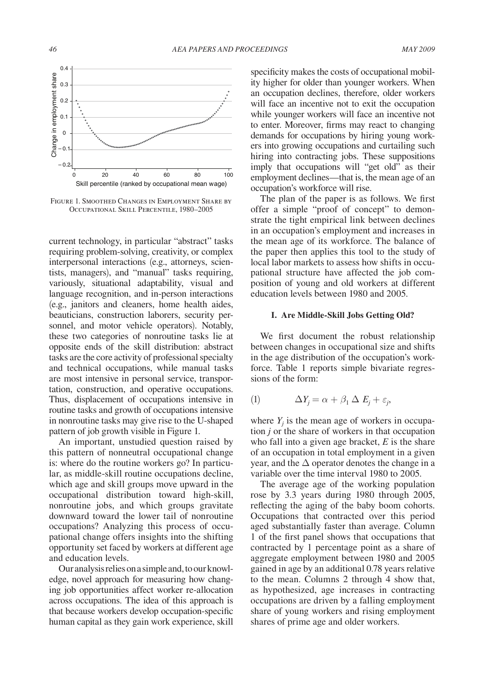

Figure 1. Smoothed Changes in Employment Share by Occupational Skill Percentile, 1980–2005

current technology, in particular "abstract" tasks requiring problem-solving, creativity, or complex interpersonal interactions (e.g., attorneys, scientists, managers), and "manual" tasks requiring, variously, situational adaptability, visual and language recognition, and in-person interactions (e.g., janitors and cleaners, home health aides, beauticians, construction laborers, security personnel, and motor vehicle operators). Notably, these two categories of nonroutine tasks lie at opposite ends of the skill distribution: abstract tasks are the core activity of professional specialty and technical occupations, while manual tasks are most intensive in personal service, transportation, construction, and operative occupations. Thus, displacement of occupations intensive in routine tasks and growth of occupations intensive in nonroutine tasks may give rise to the U-shaped pattern of job growth visible in Figure 1.

An important, unstudied question raised by this pattern of nonneutral occupational change is: where do the routine workers go? In particular, as middle-skill routine occupations decline, which age and skill groups move upward in the occupational distribution toward high-skill, nonroutine jobs, and which groups gravitate downward toward the lower tail of nonroutine occupations? Analyzing this process of occupational change offers insights into the shifting opportunity set faced by workers at different age and education levels.

Our analysis relies on a simple and, to our knowledge, novel approach for measuring how changing job opportunities affect worker re-allocation across occupations. The idea of this approach is that because workers develop occupation-specific human capital as they gain work experience, skill

specificity makes the costs of occupational mobility higher for older than younger workers. When an occupation declines, therefore, older workers will face an incentive not to exit the occupation while younger workers will face an incentive not to enter. Moreover, firms may react to changing demands for occupations by hiring young workers into growing occupations and curtailing such hiring into contracting jobs. These suppositions imply that occupations will "get old" as their employment declines—that is, the mean age of an occupation's workforce will rise.

The plan of the paper is as follows. We first offer a simple "proof of concept" to demonstrate the tight empirical link between declines in an occupation's employment and increases in the mean age of its workforce. The balance of the paper then applies this tool to the study of local labor markets to assess how shifts in occupational structure have affected the job composition of young and old workers at different education levels between 1980 and 2005.

#### **I. Are Middle-Skill Jobs Getting Old?**

We first document the robust relationship between changes in occupational size and shifts in the age distribution of the occupation's workforce. Table 1 reports simple bivariate regressions of the form:

$$
(1) \qquad \Delta Y_j = \alpha + \beta_1 \, \Delta \, E_j + \varepsilon_j,
$$

where  $Y_j$  is the mean age of workers in occupation *j* or the share of workers in that occupation who fall into a given age bracket, *E* is the share of an occupation in total employment in a given year, and the  $\Delta$  operator denotes the change in a variable over the time interval 1980 to 2005.

The average age of the working population rose by 3.3 years during 1980 through 2005, reflecting the aging of the baby boom cohorts. Occupations that contracted over this period aged substantially faster than average. Column 1 of the first panel shows that occupations that contracted by 1 percentage point as a share of aggregate employment between 1980 and 2005 gained in age by an additional 0.78 years relative to the mean. Columns 2 through 4 show that, as hypothesized, age increases in contracting occupations are driven by a falling employment share of young workers and rising employment shares of prime age and older workers.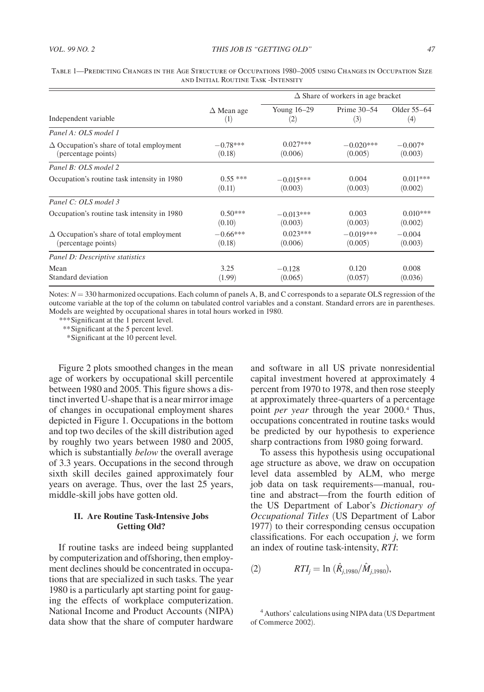| Independent variable                                                   |                          | $\Delta$ Share of workers in age bracket |                        |                       |
|------------------------------------------------------------------------|--------------------------|------------------------------------------|------------------------|-----------------------|
|                                                                        | $\Delta$ Mean age<br>(1) | Young 16–29<br>(2)                       | Prime $30-54$<br>(3)   | Older $55-64$<br>(4)  |
| Panel A: OLS model 1                                                   |                          |                                          |                        |                       |
| $\Delta$ Occupation's share of total employment<br>(percentage points) | $-0.78***$<br>(0.18)     | $0.027***$<br>(0.006)                    | $-0.020***$<br>(0.005) | $-0.007*$<br>(0.003)  |
| Panel B: OLS model 2                                                   |                          |                                          |                        |                       |
| Occupation's routine task intensity in 1980                            | $0.55***$<br>(0.11)      | $-0.015***$<br>(0.003)                   | 0.004<br>(0.003)       | $0.011***$<br>(0.002) |
| Panel C: OLS model 3                                                   |                          |                                          |                        |                       |
| Occupation's routine task intensity in 1980                            | $0.50***$<br>(0.10)      | $-0.013***$<br>(0.003)                   | 0.003<br>(0.003)       | $0.010***$<br>(0.002) |
| $\Delta$ Occupation's share of total employment<br>(percentage points) | $-0.66***$<br>(0.18)     | $0.023***$<br>(0.006)                    | $-0.019***$<br>(0.005) | $-0.004$<br>(0.003)   |
| Panel D: Descriptive statistics                                        |                          |                                          |                        |                       |
| Mean<br>Standard deviation                                             | 3.25<br>(1.99)           | $-0.128$<br>(0.065)                      | 0.120<br>(0.057)       | 0.008<br>(0.036)      |

Table 1—Predicting Changes in the Age Structure of Occupations 1980–2005 using Changes in Occupation Size and Initial Routine Task -Intensity

Notes:  $N = 330$  harmonized occupations. Each column of panels A, B, and C corresponds to a separate OLS regression of the outcome variable at the top of the column on tabulated control variables and a constant. Standard errors are in parentheses. Models are weighted by occupational shares in total hours worked in 1980.

*\*\*\**Significant at the 1 percent level.

*\*\**Significant at the 5 percent level.

 *\**Significant at the 10 percent level.

Figure 2 plots smoothed changes in the mean age of workers by occupational skill percentile between 1980 and 2005. This figure shows a distinct inverted U-shape that is a near mirror image of changes in occupational employment shares depicted in Figure 1. Occupations in the bottom and top two deciles of the skill distribution aged by roughly two years between 1980 and 2005, which is substantially *below* the overall average of 3.3 years. Occupations in the second through sixth skill deciles gained approximately four years on average. Thus, over the last 25 years, middle-skill jobs have gotten old.

# **II. Are Routine Task-Intensive Jobs Getting Old?**

If routine tasks are indeed being supplanted by computerization and offshoring, then employment declines should be concentrated in occupations that are specialized in such tasks. The year 1980 is a particularly apt starting point for gauging the effects of workplace computerization. National Income and Product Accounts (NIPA) data show that the share of computer hardware

and software in all US private nonresidential capital investment hovered at approximately 4 percent from 1970 to 1978, and then rose steeply at approximately three-quarters of a percentage point *per year* through the year 2000.4 Thus, occupations concentrated in routine tasks would be predicted by our hypothesis to experience sharp contractions from 1980 going forward.

To assess this hypothesis using occupational age structure as above, we draw on occupation level data assembled by ALM, who merge job data on task requirements—manual, routine and abstract—from the fourth edition of the US Department of Labor's *Dictionary of Occupational Titles* (US Department of Labor 1977) to their corresponding census occupation classifications. For each occupation *j*, we form an index of routine task-intensity, *RTI*:

(2) 
$$
RTI_j = \ln (\hat{R}_{j,1980}/\hat{M}_{j,1980}),
$$

<sup>4</sup> Authors' calculations using NIPA data (US Department of Commerce 2002).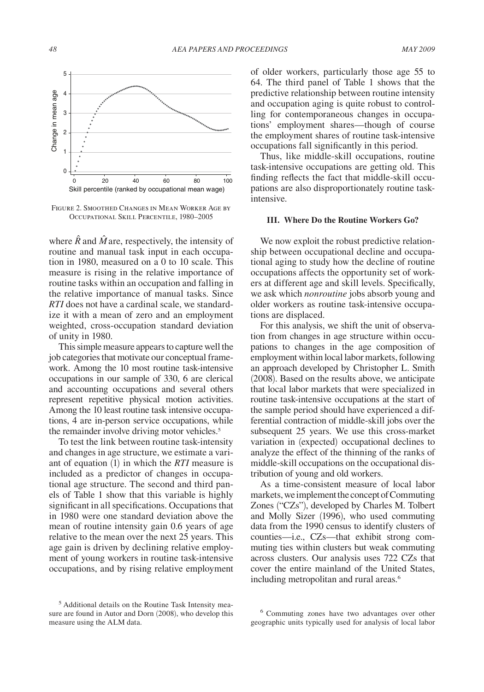

Figure 2. Smoothed Changes in Mean Worker Age by Occupational Skill Percentile, 1980–2005

where  $\hat{R}$  and  $\hat{M}$  are, respectively, the intensity of routine and manual task input in each occupation in 1980, measured on a 0 to 10 scale. This measure is rising in the relative importance of routine tasks within an occupation and falling in the relative importance of manual tasks. Since *RTI* does not have a cardinal scale, we standardize it with a mean of zero and an employment weighted, cross-occupation standard deviation of unity in 1980.

This simple measure appears to capture well the job categories that motivate our conceptual framework. Among the 10 most routine task-intensive occupations in our sample of 330, 6 are clerical and accounting occupations and several others represent repetitive physical motion activities. Among the 10 least routine task intensive occupations, 4 are in-person service occupations, while the remainder involve driving motor vehicles.<sup>5</sup>

To test the link between routine task-intensity and changes in age structure, we estimate a variant of equation (1) in which the *RTI* measure is included as a predictor of changes in occupational age structure. The second and third panels of Table 1 show that this variable is highly significant in all specifications. Occupations that in 1980 were one standard deviation above the mean of routine intensity gain 0.6 years of age relative to the mean over the next 25 years. This age gain is driven by declining relative employment of young workers in routine task-intensive occupations, and by rising relative employment of older workers, particularly those age 55 to 64. The third panel of Table 1 shows that the predictive relationship between routine intensity and occupation aging is quite robust to controlling for contemporaneous changes in occupations' employment shares—though of course the employment shares of routine task-intensive occupations fall significantly in this period.

Thus, like middle-skill occupations, routine task-intensive occupations are getting old. This finding reflects the fact that middle-skill occupations are also disproportionately routine taskintensive.

#### **III. Where Do the Routine Workers Go?**

We now exploit the robust predictive relationship between occupational decline and occupational aging to study how the decline of routine occupations affects the opportunity set of workers at different age and skill levels. Specifically, we ask which *nonroutine* jobs absorb young and older workers as routine task-intensive occupations are displaced.

For this analysis, we shift the unit of observation from changes in age structure within occupations to changes in the age composition of employment within local labor markets, following an approach developed by Christopher L. Smith (2008). Based on the results above, we anticipate that local labor markets that were specialized in routine task-intensive occupations at the start of the sample period should have experienced a differential contraction of middle-skill jobs over the subsequent 25 years. We use this cross-market variation in (expected) occupational declines to analyze the effect of the thinning of the ranks of middle-skill occupations on the occupational distribution of young and old workers.

As a time-consistent measure of local labor markets, we implement the concept of Commuting Zones ("CZs"), developed by Charles M. Tolbert and Molly Sizer (1996), who used commuting data from the 1990 census to identify clusters of counties—i.e., CZs—that exhibit strong commuting ties within clusters but weak commuting across clusters. Our analysis uses 722 CZs that cover the entire mainland of the United States, including metropolitan and rural areas.<sup>6</sup>

<sup>5</sup> Additional details on the Routine Task Intensity measure are found in Autor and Dorn (2008), who develop this measure using the ALM data.

<sup>6</sup> Commuting zones have two advantages over other geographic units typically used for analysis of local labor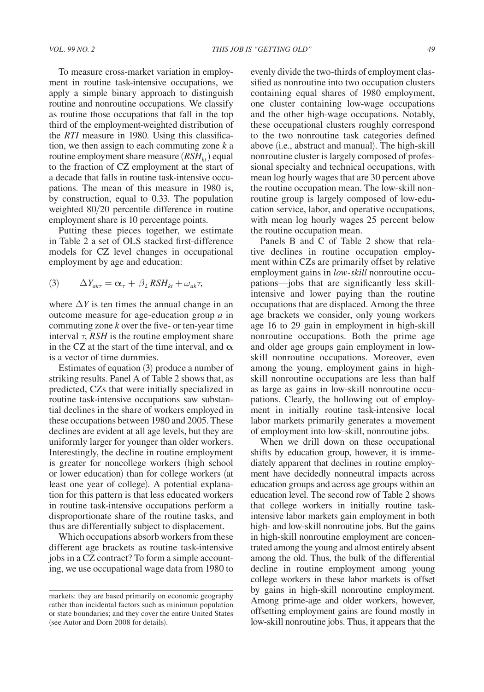To measure cross-market variation in employment in routine task-intensive occupations, we apply a simple binary approach to distinguish routine and nonroutine occupations. We classify as routine those occupations that fall in the top third of the employment-weighted distribution of the *RTI* measure in 1980. Using this classification, we then assign to each commuting zone *k* a routine employment share measure  $(RSH<sub>kt</sub>)$  equal to the fraction of CZ employment at the start of a decade that falls in routine task-intensive occupations. The mean of this measure in 1980 is, by construction, equal to 0.33. The population weighted 80/20 percentile difference in routine employment share is 10 percentage points.

Putting these pieces together, we estimate in Table 2 a set of OLS stacked first-difference models for CZ level changes in occupational employment by age and education:

$$
(3) \qquad \Delta Y_{ak\tau} = \alpha_{\tau} + \beta_2 \, RSH_{kt} + \omega_{ak}\tau,
$$

where  $\Delta Y$  is ten times the annual change in an outcome measure for age-education group *a* in commuting zone *k* over the five- or ten-year time interval  $\tau$ , *RSH* is the routine employment share in the CZ at the start of the time interval, and  $\alpha$ is a vector of time dummies.

Estimates of equation (3) produce a number of striking results. Panel A of Table 2 shows that, as predicted, CZs that were initially specialized in routine task-intensive occupations saw substantial declines in the share of workers employed in these occupations between 1980 and 2005. These declines are evident at all age levels, but they are uniformly larger for younger than older workers. Interestingly, the decline in routine employment is greater for noncollege workers (high school or lower education) than for college workers (at least one year of college). A potential explanation for this pattern is that less educated workers in routine task-intensive occupations perform a disproportionate share of the routine tasks, and thus are differentially subject to displacement.

Which occupations absorb workers from these different age brackets as routine task-intensive jobs in a CZ contract? To form a simple accounting, we use occupational wage data from 1980 to evenly divide the two-thirds of employment classified as nonroutine into two occupation clusters containing equal shares of 1980 employment, one cluster containing low-wage occupations and the other high-wage occupations. Notably, these occupational clusters roughly correspond to the two nonroutine task categories defined above (i.e., abstract and manual). The high-skill nonroutine cluster is largely composed of professional specialty and technical occupations, with mean log hourly wages that are 30 percent above the routine occupation mean. The low-skill nonroutine group is largely composed of low-education service, labor, and operative occupations, with mean log hourly wages 25 percent below the routine occupation mean.

Panels B and C of Table 2 show that relative declines in routine occupation employment within CZs are primarily offset by relative employment gains in *low-skill* nonroutine occupations—jobs that are significantly less skillintensive and lower paying than the routine occupations that are displaced. Among the three age brackets we consider, only young workers age 16 to 29 gain in employment in high-skill nonroutine occupations. Both the prime age and older age groups gain employment in lowskill nonroutine occupations. Moreover, even among the young, employment gains in highskill nonroutine occupations are less than half as large as gains in low-skill nonroutine occupations. Clearly, the hollowing out of employment in initially routine task-intensive local labor markets primarily generates a movement of employment into low-skill, nonroutine jobs.

When we drill down on these occupational shifts by education group, however, it is immediately apparent that declines in routine employment have decidedly nonneutral impacts across education groups and across age groups within an education level. The second row of Table 2 shows that college workers in initially routine taskintensive labor markets gain employment in both high- and low-skill nonroutine jobs. But the gains in high-skill nonroutine employment are concentrated among the young and almost entirely absent among the old. Thus, the bulk of the differential decline in routine employment among young college workers in these labor markets is offset by gains in high-skill nonroutine employment. Among prime-age and older workers, however, offsetting employment gains are found mostly in low-skill nonroutine jobs. Thus, it appears that the

markets: they are based primarily on economic geography rather than incidental factors such as minimum population or state boundaries; and they cover the entire United States (see Autor and Dorn 2008 for details).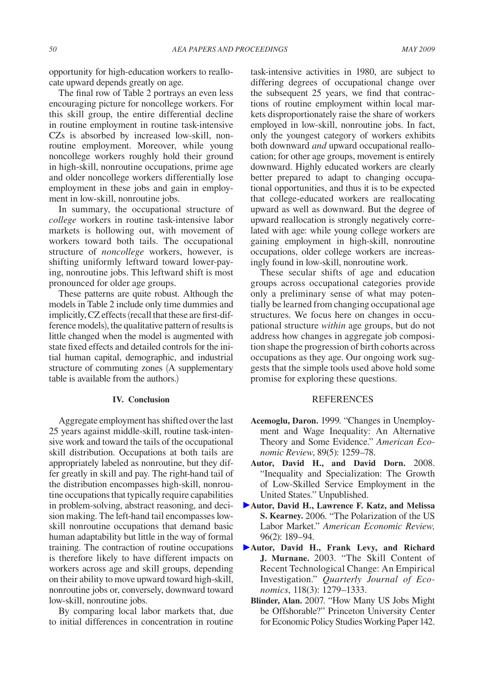opportunity for high-education workers to reallocate upward depends greatly on age.

The final row of Table 2 portrays an even less encouraging picture for noncollege workers. For this skill group, the entire differential decline in routine employment in routine task-intensive CZs is absorbed by increased low-skill, nonroutine employment. Moreover, while young noncollege workers roughly hold their ground in high-skill, nonroutine occupations, prime age and older noncollege workers differentially lose employment in these jobs and gain in employment in low-skill, nonroutine jobs.

In summary, the occupational structure of *college* workers in routine task-intensive labor markets is hollowing out, with movement of workers toward both tails. The occupational structure of *noncollege* workers, however, is shifting uniformly leftward toward lower-paying, nonroutine jobs. This leftward shift is most pronounced for older age groups.

These patterns are quite robust. Although the models in Table 2 include only time dummies and implicitly, CZ effects (recall that these are first-difference models), the qualitative pattern of results is little changed when the model is augmented with state fixed effects and detailed controls for the initial human capital, demographic, and industrial structure of commuting zones (A supplementary table is available from the authors.)

### **IV. Conclusion**

Aggregate employment has shifted over the last 25 years against middle-skill, routine task-intensive work and toward the tails of the occupational skill distribution. Occupations at both tails are appropriately labeled as nonroutine, but they differ greatly in skill and pay. The right-hand tail of the distribution encompasses high-skill, nonroutine occupations that typically require capabilities in problem-solving, abstract reasoning, and decision making. The left-hand tail encompasses lowskill nonroutine occupations that demand basic human adaptability but little in the way of formal training. The contraction of routine occupations is therefore likely to have different impacts on workers across age and skill groups, depending on their ability to move upward toward high-skill, nonroutine jobs or, conversely, downward toward low-skill, nonroutine jobs.

By comparing local labor markets that, due to initial differences in concentration in routine task-intensive activities in 1980, are subject to differing degrees of occupational change over the subsequent 25 years, we find that contractions of routine employment within local markets disproportionately raise the share of workers employed in low-skill, nonroutine jobs. In fact, only the youngest category of workers exhibits both downward *and* upward occupational reallocation; for other age groups, movement is entirely downward. Highly educated workers are clearly better prepared to adapt to changing occupational opportunities, and thus it is to be expected that college-educated workers are reallocating upward as well as downward. But the degree of upward reallocation is strongly negatively correlated with age: while young college workers are gaining employment in high-skill, nonroutine occupations, older college workers are increasingly found in low-skill, nonroutine work.

These secular shifts of age and education groups across occupational categories provide only a preliminary sense of what may potentially be learned from changing occupational age structures. We focus here on changes in occupational structure *within* age groups, but do not address how changes in aggregate job composition shape the progression of birth cohorts across occupations as they age. Our ongoing work suggests that the simple tools used above hold some promise for exploring these questions.

# **REFERENCES**

- **Acemoglu, Daron.** 1999. "Changes in Unemployment and Wage Inequality: An Alternative Theory and Some Evidence." *American Economic Review*, 89(5): 1259–78.
- **Autor, David H., and David Dorn.** 2008. "Inequality and Specialization: The Growth of Low-Skilled Service Employment in the United States." Unpublished.
- **Autor, David H., Lawrence F. Katz, and Melissa S. Kearney.** 2006. "The Polarization of the US Labor Market." *American Economic Review,*  96(2): 189–94.
- **Autor, David H., Frank Levy, and Richard J. Murnane.** 2003. "The Skill Content of Recent Technological Change: An Empirical Investigation." *Quarterly Journal of Economics*, 118(3): 1279–1333.
	- **Blinder, Alan.** 2007. "How Many US Jobs Might be Offshorable?" Princeton University Center for Economic Policy Studies Working Paper 142.